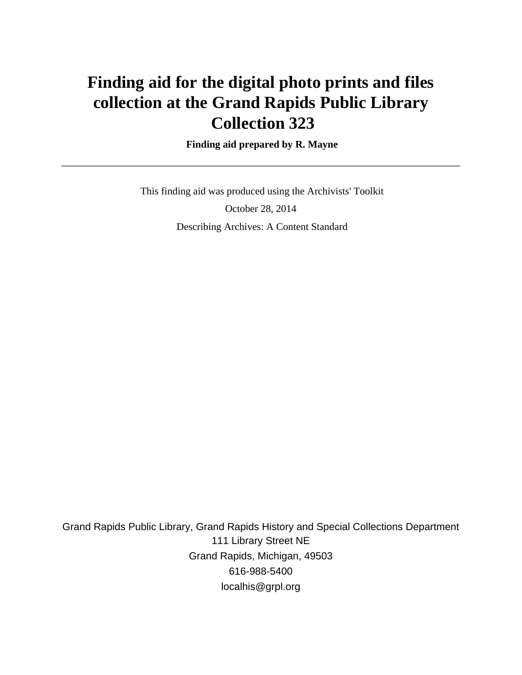# **Finding aid for the digital photo prints and files collection at the Grand Rapids Public Library Collection 323**

#### **Finding aid prepared by R. Mayne**

 This finding aid was produced using the Archivists' Toolkit October 28, 2014 Describing Archives: A Content Standard

Grand Rapids Public Library, Grand Rapids History and Special Collections Department 111 Library Street NE Grand Rapids, Michigan, 49503 616-988-5400 localhis@grpl.org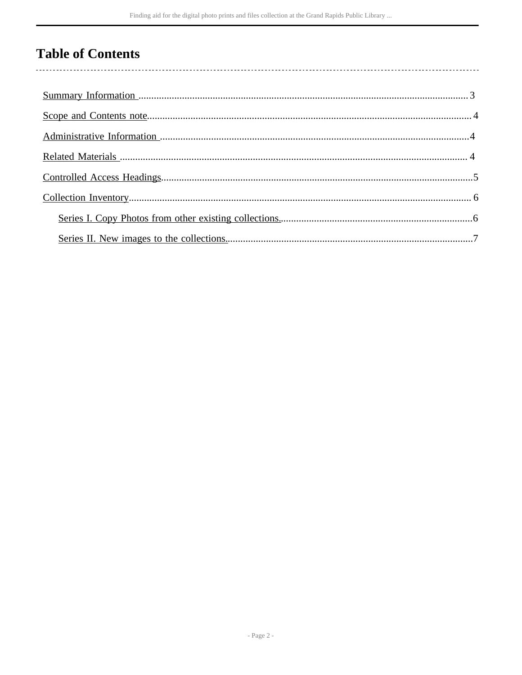## **Table of Contents**

 $\overline{\phantom{a}}$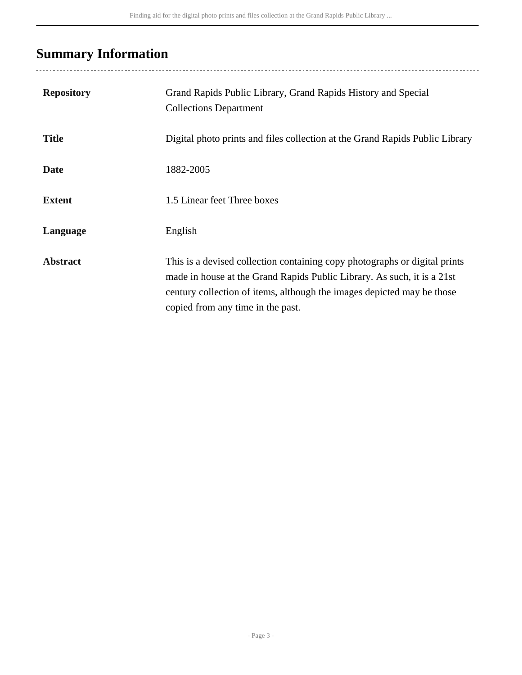## <span id="page-2-0"></span>**Summary Information**

| <b>Repository</b> | Grand Rapids Public Library, Grand Rapids History and Special<br><b>Collections Department</b>                                                                                                                                                                       |
|-------------------|----------------------------------------------------------------------------------------------------------------------------------------------------------------------------------------------------------------------------------------------------------------------|
| <b>Title</b>      | Digital photo prints and files collection at the Grand Rapids Public Library                                                                                                                                                                                         |
| <b>Date</b>       | 1882-2005                                                                                                                                                                                                                                                            |
| <b>Extent</b>     | 1.5 Linear feet Three boxes                                                                                                                                                                                                                                          |
| Language          | English                                                                                                                                                                                                                                                              |
| <b>Abstract</b>   | This is a devised collection containing copy photographs or digital prints<br>made in house at the Grand Rapids Public Library. As such, it is a 21st<br>century collection of items, although the images depicted may be those<br>copied from any time in the past. |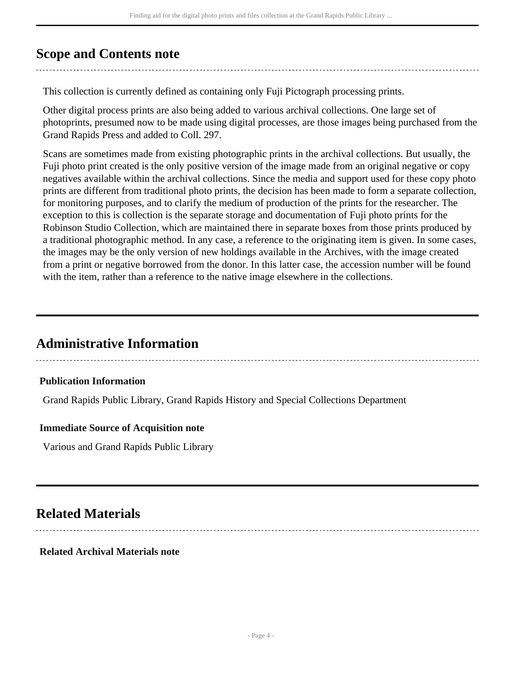### <span id="page-3-0"></span>**Scope and Contents note**

This collection is currently defined as containing only Fuji Pictograph processing prints.

Other digital process prints are also being added to various archival collections. One large set of photoprints, presumed now to be made using digital processes, are those images being purchased from the Grand Rapids Press and added to Coll. 297.

Scans are sometimes made from existing photographic prints in the archival collections. But usually, the Fuji photo print created is the only positive version of the image made from an original negative or copy negatives available within the archival collections. Since the media and support used for these copy photo prints are different from traditional photo prints, the decision has been made to form a separate collection, for monitoring purposes, and to clarify the medium of production of the prints for the researcher. The exception to this is collection is the separate storage and documentation of Fuji photo prints for the Robinson Studio Collection, which are maintained there in separate boxes from those prints produced by a traditional photographic method. In any case, a reference to the originating item is given. In some cases, the images may be the only version of new holdings available in the Archives, with the image created from a print or negative borrowed from the donor. In this latter case, the accession number will be found with the item, rather than a reference to the native image elsewhere in the collections.

### <span id="page-3-1"></span>**Administrative Information**

#### **Publication Information**

Grand Rapids Public Library, Grand Rapids History and Special Collections Department

#### **Immediate Source of Acquisition note**

Various and Grand Rapids Public Library

### <span id="page-3-2"></span>**Related Materials**

**Related Archival Materials note**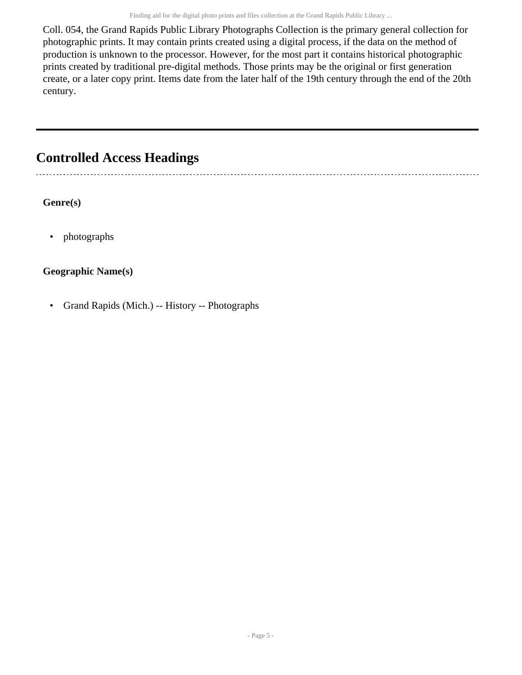Coll. 054, the Grand Rapids Public Library Photographs Collection is the primary general collection for photographic prints. It may contain prints created using a digital process, if the data on the method of production is unknown to the processor. However, for the most part it contains historical photographic prints created by traditional pre-digital methods. Those prints may be the original or first generation create, or a later copy print. Items date from the later half of the 19th century through the end of the 20th century.

### <span id="page-4-0"></span>**Controlled Access Headings**

**Genre(s)**

• photographs

#### **Geographic Name(s)**

• Grand Rapids (Mich.) -- History -- Photographs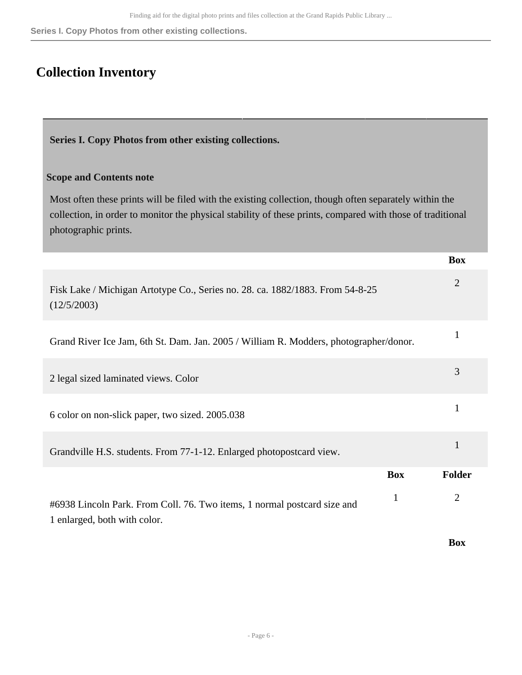**Series I. Copy Photos from other existing collections.**

### <span id="page-5-0"></span>**Collection Inventory**

<span id="page-5-1"></span>**Series I. Copy Photos from other existing collections.** 

#### **Scope and Contents note**

Most often these prints will be filed with the existing collection, though often separately within the collection, in order to monitor the physical stability of these prints, compared with those of traditional photographic prints.

|                                                                                                          |            | <b>Box</b>     |
|----------------------------------------------------------------------------------------------------------|------------|----------------|
| Fisk Lake / Michigan Artotype Co., Series no. 28. ca. 1882/1883. From 54-8-25<br>(12/5/2003)             |            | $\overline{2}$ |
| Grand River Ice Jam, 6th St. Dam. Jan. 2005 / William R. Modders, photographer/donor.                    |            |                |
| 2 legal sized laminated views. Color                                                                     |            | 3              |
| 6 color on non-slick paper, two sized. 2005.038                                                          |            | 1              |
| Grandville H.S. students. From 77-1-12. Enlarged photopostcard view.                                     |            | 1              |
|                                                                                                          | <b>Box</b> | <b>Folder</b>  |
| #6938 Lincoln Park. From Coll. 76. Two items, 1 normal postcard size and<br>1 enlarged, both with color. | 1          | $\overline{2}$ |

**Box**